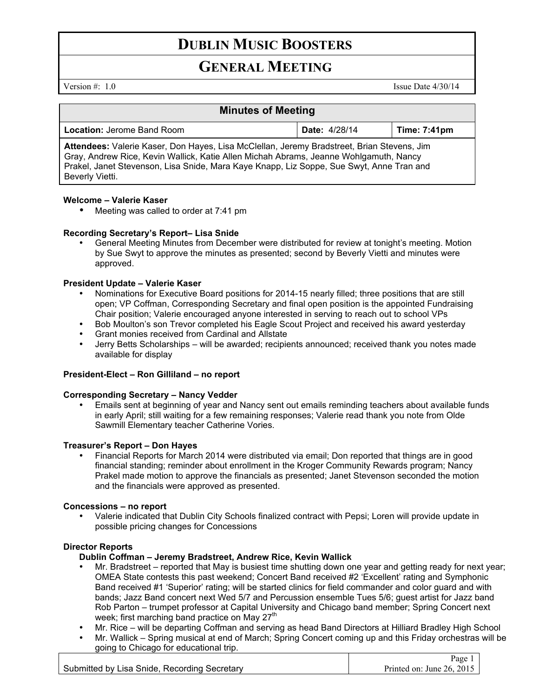## **DUBLIN MUSIC BOOSTERS**

### **GENERAL MEETING**

Version  $\#$ : 1.0 Issue Date 4/30/14

| <b>Minutes of Meeting</b>                                                                                                                                                                                                                                                                          |               |              |
|----------------------------------------------------------------------------------------------------------------------------------------------------------------------------------------------------------------------------------------------------------------------------------------------------|---------------|--------------|
| <b>Location: Jerome Band Room</b>                                                                                                                                                                                                                                                                  | Date: 4/28/14 | Time: 7:41pm |
| Attendees: Valerie Kaser, Don Hayes, Lisa McClellan, Jeremy Bradstreet, Brian Stevens, Jim<br>Gray, Andrew Rice, Kevin Wallick, Katie Allen Michah Abrams, Jeanne Wohlgamuth, Nancy<br>Prakel, Janet Stevenson, Lisa Snide, Mara Kaye Knapp, Liz Soppe, Sue Swyt, Anne Tran and<br>Beverly Vietti. |               |              |

#### **Welcome – Valerie Kaser**

• Meeting was called to order at 7:41 pm

#### **Recording Secretary's Report– Lisa Snide**

• General Meeting Minutes from December were distributed for review at tonight's meeting. Motion by Sue Swyt to approve the minutes as presented; second by Beverly Vietti and minutes were approved.

#### **President Update – Valerie Kaser**

- Nominations for Executive Board positions for 2014-15 nearly filled; three positions that are still open; VP Coffman, Corresponding Secretary and final open position is the appointed Fundraising Chair position; Valerie encouraged anyone interested in serving to reach out to school VPs
- Bob Moulton's son Trevor completed his Eagle Scout Project and received his award yesterday
- Grant monies received from Cardinal and Allstate
- Jerry Betts Scholarships will be awarded; recipients announced; received thank you notes made available for display

#### **President-Elect – Ron Gilliland – no report**

#### **Corresponding Secretary – Nancy Vedder**

• Emails sent at beginning of year and Nancy sent out emails reminding teachers about available funds in early April; still waiting for a few remaining responses; Valerie read thank you note from Olde Sawmill Elementary teacher Catherine Vories.

#### **Treasurer's Report – Don Hayes**

• Financial Reports for March 2014 were distributed via email; Don reported that things are in good financial standing; reminder about enrollment in the Kroger Community Rewards program; Nancy Prakel made motion to approve the financials as presented; Janet Stevenson seconded the motion and the financials were approved as presented.

#### **Concessions – no report**

• Valerie indicated that Dublin City Schools finalized contract with Pepsi; Loren will provide update in possible pricing changes for Concessions

#### **Director Reports**

#### **Dublin Coffman – Jeremy Bradstreet, Andrew Rice, Kevin Wallick**

- Mr. Bradstreet reported that May is busiest time shutting down one year and getting ready for next year; OMEA State contests this past weekend; Concert Band received #2 'Excellent' rating and Symphonic Band received #1 'Superior' rating; will be started clinics for field commander and color guard and with bands; Jazz Band concert next Wed 5/7 and Percussion ensemble Tues 5/6; guest artist for Jazz band Rob Parton – trumpet professor at Capital University and Chicago band member; Spring Concert next week; first marching band practice on May 27<sup>th</sup>
- Mr. Rice will be departing Coffman and serving as head Band Directors at Hilliard Bradley High School
- $D<sub>2</sub> = 1$ • Mr. Wallick – Spring musical at end of March; Spring Concert coming up and this Friday orchestras will be going to Chicago for educational trip.

|                                              | rage 1                    |
|----------------------------------------------|---------------------------|
| Submitted by Lisa Snide, Recording Secretary | Printed on: June 26, 2015 |